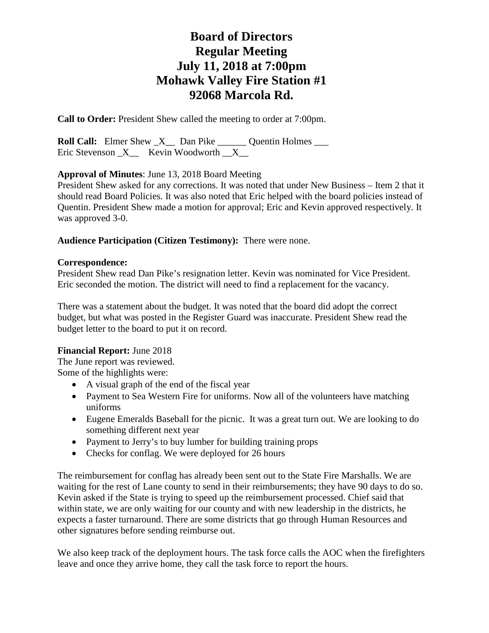**Call to Order:** President Shew called the meeting to order at 7:00pm.

**Roll Call:** Elmer Shew  $X$  Dan Pike Quentin Holmes Eric Stevenson  $X$  Kevin Woodworth  $X$ 

**Approval of Minutes**: June 13, 2018 Board Meeting

President Shew asked for any corrections. It was noted that under New Business – Item 2 that it should read Board Policies. It was also noted that Eric helped with the board policies instead of Quentin. President Shew made a motion for approval; Eric and Kevin approved respectively. It was approved 3-0.

#### **Audience Participation (Citizen Testimony):** There were none.

#### **Correspondence:**

President Shew read Dan Pike's resignation letter. Kevin was nominated for Vice President. Eric seconded the motion. The district will need to find a replacement for the vacancy.

There was a statement about the budget. It was noted that the board did adopt the correct budget, but what was posted in the Register Guard was inaccurate. President Shew read the budget letter to the board to put it on record.

#### **Financial Report:** June 2018

The June report was reviewed. Some of the highlights were:

- A visual graph of the end of the fiscal year
- Payment to Sea Western Fire for uniforms. Now all of the volunteers have matching uniforms
- Eugene Emeralds Baseball for the picnic. It was a great turn out. We are looking to do something different next year
- Payment to Jerry's to buy lumber for building training props
- Checks for conflag. We were deployed for 26 hours

The reimbursement for conflag has already been sent out to the State Fire Marshalls. We are waiting for the rest of Lane county to send in their reimbursements; they have 90 days to do so. Kevin asked if the State is trying to speed up the reimbursement processed. Chief said that within state, we are only waiting for our county and with new leadership in the districts, he expects a faster turnaround. There are some districts that go through Human Resources and other signatures before sending reimburse out.

We also keep track of the deployment hours. The task force calls the AOC when the firefighters leave and once they arrive home, they call the task force to report the hours.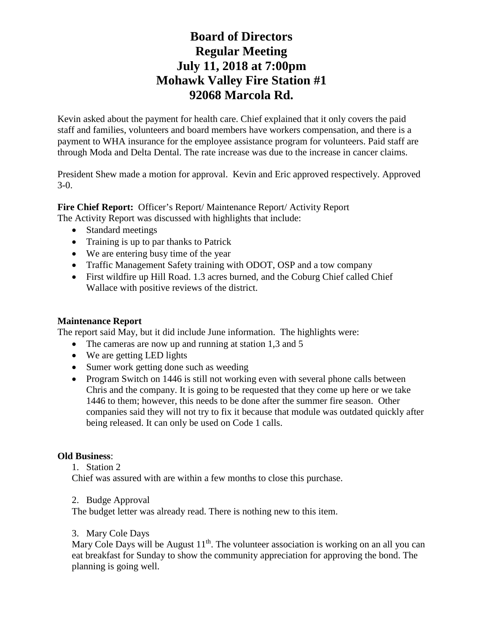Kevin asked about the payment for health care. Chief explained that it only covers the paid staff and families, volunteers and board members have workers compensation, and there is a payment to WHA insurance for the employee assistance program for volunteers. Paid staff are through Moda and Delta Dental. The rate increase was due to the increase in cancer claims.

President Shew made a motion for approval. Kevin and Eric approved respectively. Approved 3-0.

**Fire Chief Report:** Officer's Report/ Maintenance Report/ Activity Report The Activity Report was discussed with highlights that include:

- Standard meetings
- Training is up to par thanks to Patrick
- We are entering busy time of the year
- Traffic Management Safety training with ODOT, OSP and a tow company
- First wildfire up Hill Road. 1.3 acres burned, and the Coburg Chief called Chief Wallace with positive reviews of the district.

### **Maintenance Report**

The report said May, but it did include June information. The highlights were:

- The cameras are now up and running at station 1,3 and 5
- We are getting LED lights
- Sumer work getting done such as weeding
- Program Switch on 1446 is still not working even with several phone calls between Chris and the company. It is going to be requested that they come up here or we take 1446 to them; however, this needs to be done after the summer fire season. Other companies said they will not try to fix it because that module was outdated quickly after being released. It can only be used on Code 1 calls.

### **Old Business**:

1. Station 2

Chief was assured with are within a few months to close this purchase.

2. Budge Approval

The budget letter was already read. There is nothing new to this item.

### 3. Mary Cole Days

Mary Cole Days will be August  $11<sup>th</sup>$ . The volunteer association is working on an all you can eat breakfast for Sunday to show the community appreciation for approving the bond. The planning is going well.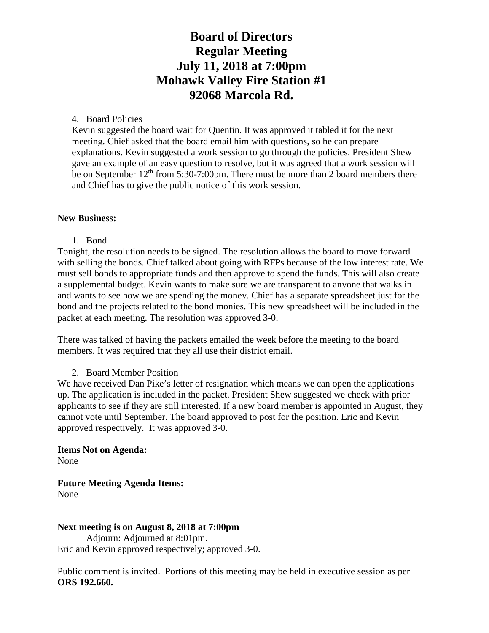### 4. Board Policies

Kevin suggested the board wait for Quentin. It was approved it tabled it for the next meeting. Chief asked that the board email him with questions, so he can prepare explanations. Kevin suggested a work session to go through the policies. President Shew gave an example of an easy question to resolve, but it was agreed that a work session will be on September  $12<sup>th</sup>$  from 5:30-7:00pm. There must be more than 2 board members there and Chief has to give the public notice of this work session.

#### **New Business:**

1. Bond

Tonight, the resolution needs to be signed. The resolution allows the board to move forward with selling the bonds. Chief talked about going with RFPs because of the low interest rate. We must sell bonds to appropriate funds and then approve to spend the funds. This will also create a supplemental budget. Kevin wants to make sure we are transparent to anyone that walks in and wants to see how we are spending the money. Chief has a separate spreadsheet just for the bond and the projects related to the bond monies. This new spreadsheet will be included in the packet at each meeting. The resolution was approved 3-0.

There was talked of having the packets emailed the week before the meeting to the board members. It was required that they all use their district email.

### 2. Board Member Position

We have received Dan Pike's letter of resignation which means we can open the applications up. The application is included in the packet. President Shew suggested we check with prior applicants to see if they are still interested. If a new board member is appointed in August, they cannot vote until September. The board approved to post for the position. Eric and Kevin approved respectively. It was approved 3-0.

**Items Not on Agenda:**  None

**Future Meeting Agenda Items:**  None

**Next meeting is on August 8, 2018 at 7:00pm** Adjourn: Adjourned at 8:01pm. Eric and Kevin approved respectively; approved 3-0.

Public comment is invited. Portions of this meeting may be held in executive session as per **ORS 192.660.**